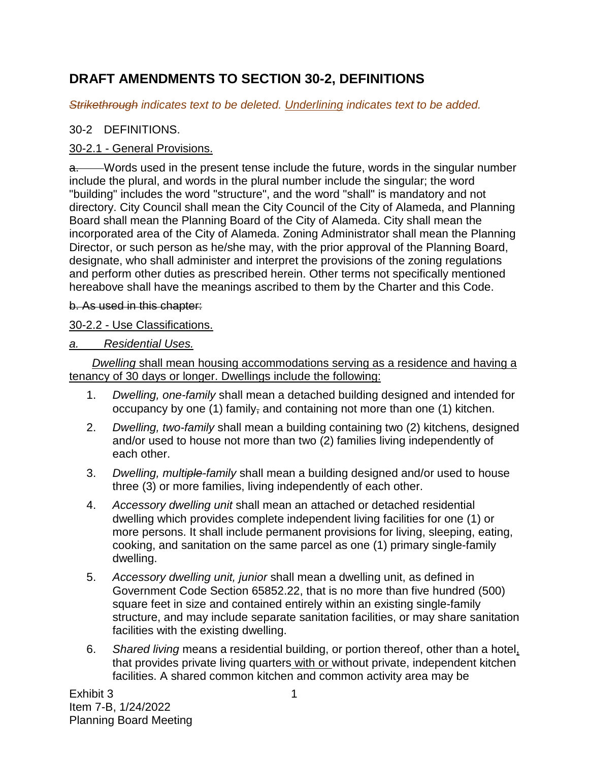# **DRAFT AMENDMENTS TO SECTION 30-2, DEFINITIONS**

*Strikethrough indicates text to be deleted. Underlining indicates text to be added.*

## 30-2 DEFINITIONS.

## 30-2.1 - General Provisions.

a. Words used in the present tense include the future, words in the singular number include the plural, and words in the plural number include the singular; the word "building" includes the word "structure", and the word "shall" is mandatory and not directory. City Council shall mean the City Council of the City of Alameda, and Planning Board shall mean the Planning Board of the City of Alameda. City shall mean the incorporated area of the City of Alameda. Zoning Administrator shall mean the Planning Director, or such person as he/she may, with the prior approval of the Planning Board, designate, who shall administer and interpret the provisions of the zoning regulations and perform other duties as prescribed herein. Other terms not specifically mentioned hereabove shall have the meanings ascribed to them by the Charter and this Code.

### b. As used in this chapter:

## 30-2.2 - Use Classifications.

## *a. Residential Uses.*

*Dwelling* shall mean housing accommodations serving as a residence and having a tenancy of 30 days or longer. Dwellings include the following:

- 1. *Dwelling, one-family* shall mean a detached building designed and intended for occupancy by one (1) family, and containing not more than one (1) kitchen.
- 2. *Dwelling, two-family* shall mean a building containing two (2) kitchens, designed and/or used to house not more than two (2) families living independently of each other.
- 3. *Dwelling, multiple-family* shall mean a building designed and/or used to house three (3) or more families, living independently of each other.
- 4. *Accessory dwelling unit* shall mean an attached or detached residential dwelling which provides complete independent living facilities for one (1) or more persons. It shall include permanent provisions for living, sleeping, eating, cooking, and sanitation on the same parcel as one (1) primary single-family dwelling.
- 5. *Accessory dwelling unit, junior* shall mean a dwelling unit, as defined in Government Code Section 65852.22, that is no more than five hundred (500) square feet in size and contained entirely within an existing single-family structure, and may include separate sanitation facilities, or may share sanitation facilities with the existing dwelling.
- 6. *Shared living* means a residential building, or portion thereof, other than a hotel, that provides private living quarters with or without private, independent kitchen facilities. A shared common kitchen and common activity area may be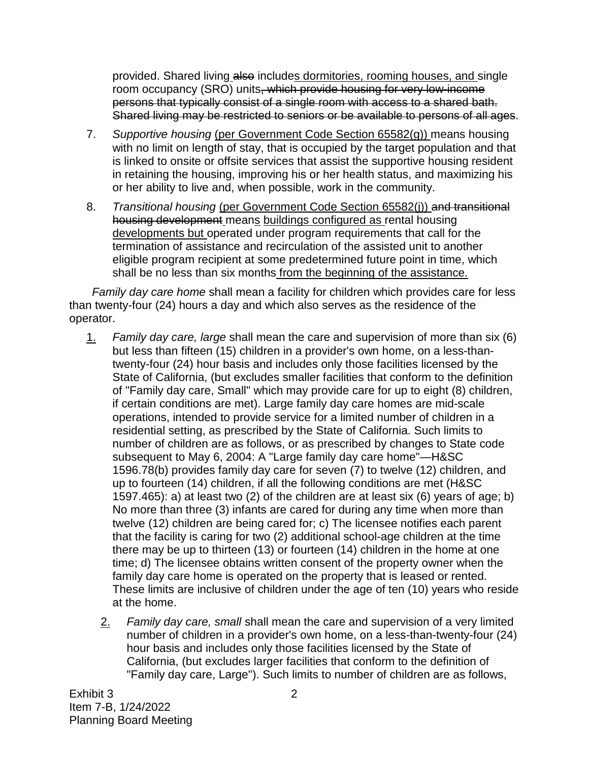provided. Shared living also includes dormitories, rooming houses, and single room occupancy (SRO) units, which provide housing for very low-income persons that typically consist of a single room with access to a shared bath. Shared living may be restricted to seniors or be available to persons of all ages.

- 7. *Supportive housing* (per Government Code Section 65582(g)) means housing with no limit on length of stay, that is occupied by the target population and that is linked to onsite or offsite services that assist the supportive housing resident in retaining the housing, improving his or her health status, and maximizing his or her ability to live and, when possible, work in the community.
- 8. *Transitional housing* (per Government Code Section 65582(j)) and transitional housing development means buildings configured as rental housing developments but operated under program requirements that call for the termination of assistance and recirculation of the assisted unit to another eligible program recipient at some predetermined future point in time, which shall be no less than six months from the beginning of the assistance.

*Family day care home* shall mean a facility for children which provides care for less than twenty-four (24) hours a day and which also serves as the residence of the operator.

- 1. *Family day care, large* shall mean the care and supervision of more than six (6) but less than fifteen (15) children in a provider's own home, on a less-thantwenty-four (24) hour basis and includes only those facilities licensed by the State of California, (but excludes smaller facilities that conform to the definition of "Family day care, Small" which may provide care for up to eight (8) children, if certain conditions are met). Large family day care homes are mid-scale operations, intended to provide service for a limited number of children in a residential setting, as prescribed by the State of California. Such limits to number of children are as follows, or as prescribed by changes to State code subsequent to May 6, 2004: A "Large family day care home"—H&SC 1596.78(b) provides family day care for seven (7) to twelve (12) children, and up to fourteen (14) children, if all the following conditions are met (H&SC 1597.465): a) at least two (2) of the children are at least six (6) years of age; b) No more than three (3) infants are cared for during any time when more than twelve (12) children are being cared for; c) The licensee notifies each parent that the facility is caring for two (2) additional school-age children at the time there may be up to thirteen (13) or fourteen (14) children in the home at one time; d) The licensee obtains written consent of the property owner when the family day care home is operated on the property that is leased or rented. These limits are inclusive of children under the age of ten (10) years who reside at the home.
	- 2. *Family day care, small* shall mean the care and supervision of a very limited number of children in a provider's own home, on a less-than-twenty-four (24) hour basis and includes only those facilities licensed by the State of California, (but excludes larger facilities that conform to the definition of "Family day care, Large"). Such limits to number of children are as follows,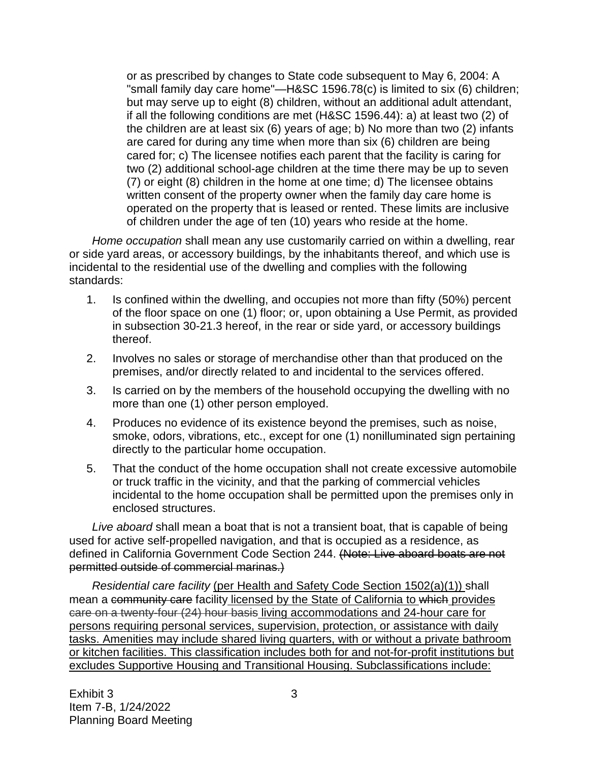or as prescribed by changes to State code subsequent to May 6, 2004: A "small family day care home"—H&SC 1596.78(c) is limited to six (6) children; but may serve up to eight (8) children, without an additional adult attendant, if all the following conditions are met (H&SC 1596.44): a) at least two (2) of the children are at least six (6) years of age; b) No more than two (2) infants are cared for during any time when more than six (6) children are being cared for; c) The licensee notifies each parent that the facility is caring for two (2) additional school-age children at the time there may be up to seven (7) or eight (8) children in the home at one time; d) The licensee obtains written consent of the property owner when the family day care home is operated on the property that is leased or rented. These limits are inclusive of children under the age of ten (10) years who reside at the home.

*Home occupation* shall mean any use customarily carried on within a dwelling, rear or side yard areas, or accessory buildings, by the inhabitants thereof, and which use is incidental to the residential use of the dwelling and complies with the following standards:

- 1. Is confined within the dwelling, and occupies not more than fifty (50%) percent of the floor space on one (1) floor; or, upon obtaining a Use Permit, as provided in subsection 30-21.3 hereof, in the rear or side yard, or accessory buildings thereof.
- 2. Involves no sales or storage of merchandise other than that produced on the premises, and/or directly related to and incidental to the services offered.
- 3. Is carried on by the members of the household occupying the dwelling with no more than one (1) other person employed.
- 4. Produces no evidence of its existence beyond the premises, such as noise, smoke, odors, vibrations, etc., except for one (1) nonilluminated sign pertaining directly to the particular home occupation.
- 5. That the conduct of the home occupation shall not create excessive automobile or truck traffic in the vicinity, and that the parking of commercial vehicles incidental to the home occupation shall be permitted upon the premises only in enclosed structures.

*Live aboard* shall mean a boat that is not a transient boat, that is capable of being used for active self-propelled navigation, and that is occupied as a residence, as defined in California Government Code Section 244. (Note: Live aboard boats are not permitted outside of commercial marinas.)

*Residential care facility (per Health and Safety Code Section 1502(a)(1))* shall mean a community care facility licensed by the State of California to which provides care on a twenty-four (24) hour basis living accommodations and 24-hour care for persons requiring personal services, supervision, protection, or assistance with daily tasks. Amenities may include shared living quarters, with or without a private bathroom or kitchen facilities. This classification includes both for and not-for-profit institutions but excludes Supportive Housing and Transitional Housing. Subclassifications include: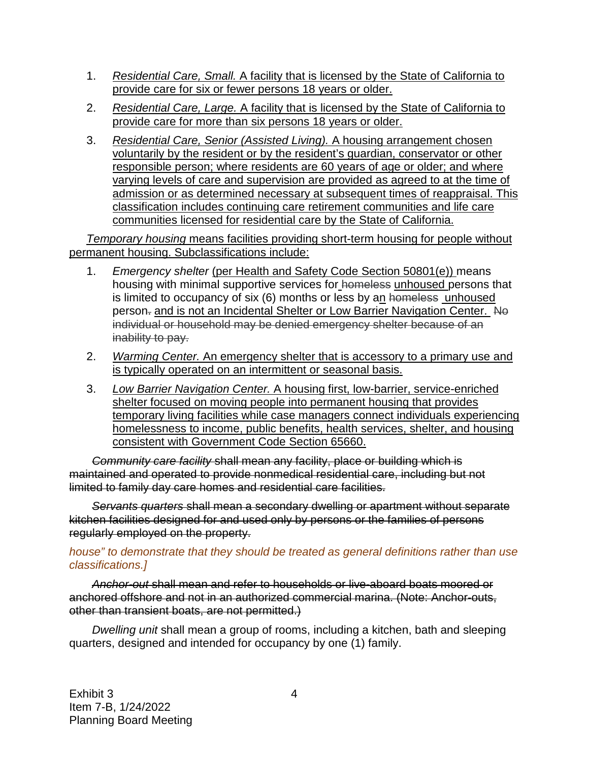- 1. *Residential Care, Small.* A facility that is licensed by the State of California to provide care for six or fewer persons 18 years or older.
- 2. *Residential Care, Large.* A facility that is licensed by the State of California to provide care for more than six persons 18 years or older.
- 3. *Residential Care, Senior (Assisted Living).* A housing arrangement chosen voluntarily by the resident or by the resident's guardian, conservator or other responsible person; where residents are 60 years of age or older; and where varying levels of care and supervision are provided as agreed to at the time of admission or as determined necessary at subsequent times of reappraisal. This classification includes continuing care retirement communities and life care communities licensed for residential care by the State of California.

*Temporary housing* means facilities providing short-term housing for people without permanent housing. Subclassifications include:

- 1. *Emergency shelter* (per Health and Safety Code Section 50801(e)) means housing with minimal supportive services for homeless unhoused persons that is limited to occupancy of six (6) months or less by an homeless unhoused person- and is not an Incidental Shelter or Low Barrier Navigation Center. No individual or household may be denied emergency shelter because of an inability to pay.
- 2. *Warming Center.* An emergency shelter that is accessory to a primary use and is typically operated on an intermittent or seasonal basis.
- 3. *Low Barrier Navigation Center.* A housing first, low-barrier, service-enriched shelter focused on moving people into permanent housing that provides temporary living facilities while case managers connect individuals experiencing homelessness to income, public benefits, health services, shelter, and housing consistent with Government Code Section 65660.

*Community care facility* shall mean any facility, place or building which is maintained and operated to provide nonmedical residential care, including but not limited to family day care homes and residential care facilities.

*Servants quarters* shall mean a secondary dwelling or apartment without separate kitchen facilities designed for and used only by persons or the families of persons regularly employed on the property.

#### *house" to demonstrate that they should be treated as general definitions rather than use classifications.]*

*Anchor-out* shall mean and refer to households or live-aboard boats moored or anchored offshore and not in an authorized commercial marina. (Note: Anchor-outs, other than transient boats, are not permitted.)

*Dwelling unit* shall mean a group of rooms, including a kitchen, bath and sleeping quarters, designed and intended for occupancy by one (1) family.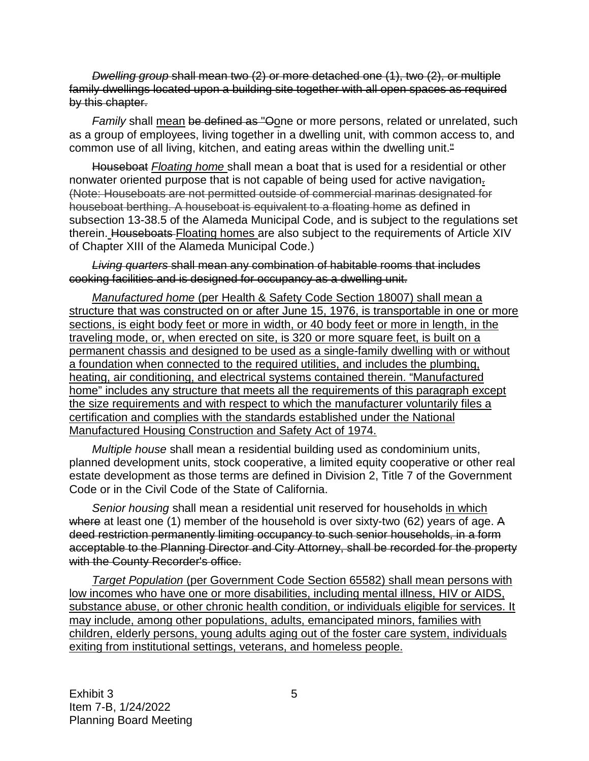*Dwelling group* shall mean two (2) or more detached one (1), two (2), or multiple family dwellings located upon a building site together with all open spaces as required by this chapter.

Family shall mean be defined as "Oone or more persons, related or unrelated, such as a group of employees, living together in a dwelling unit, with common access to, and common use of all living, kitchen, and eating areas within the dwelling unit.<sup>"</sup>

Houseboat *Floating home* shall mean a boat that is used for a residential or other nonwater oriented purpose that is not capable of being used for active navigation. (Note: Houseboats are not permitted outside of commercial marinas designated for houseboat berthing. A houseboat is equivalent to a floating home as defined in subsection 13-38.5 of the Alameda Municipal Code, and is subject to the regulations set therein. Houseboats Floating homes are also subject to the requirements of Article XIV of Chapter XIII of the Alameda Municipal Code.)

*Living quarters* shall mean any combination of habitable rooms that includes cooking facilities and is designed for occupancy as a dwelling unit.

*Manufactured home* (per Health & Safety Code Section 18007) shall mean a structure that was constructed on or after June 15, 1976, is transportable in one or more sections, is eight body feet or more in width, or 40 body feet or more in length, in the traveling mode, or, when erected on site, is 320 or more square feet, is built on a permanent chassis and designed to be used as a single-family dwelling with or without a foundation when connected to the required utilities, and includes the plumbing, heating, air conditioning, and electrical systems contained therein. "Manufactured home" includes any structure that meets all the requirements of this paragraph except the size requirements and with respect to which the manufacturer voluntarily files a certification and complies with the standards established under the National Manufactured Housing Construction and Safety Act of 1974.

*Multiple house* shall mean a residential building used as condominium units, planned development units, stock cooperative, a limited equity cooperative or other real estate development as those terms are defined in Division 2, Title 7 of the Government Code or in the Civil Code of the State of California.

*Senior housing* shall mean a residential unit reserved for households in which where at least one (1) member of the household is over sixty-two (62) years of age. A deed restriction permanently limiting occupancy to such senior households, in a form acceptable to the Planning Director and City Attorney, shall be recorded for the property with the County Recorder's office.

*Target Population* (per Government Code Section 65582) shall mean persons with low incomes who have one or more disabilities, including mental illness, HIV or AIDS, substance abuse, or other chronic health condition, or individuals eligible for services. It may include, among other populations, adults, emancipated minors, families with children, elderly persons, young adults aging out of the foster care system, individuals exiting from institutional settings, veterans, and homeless people.